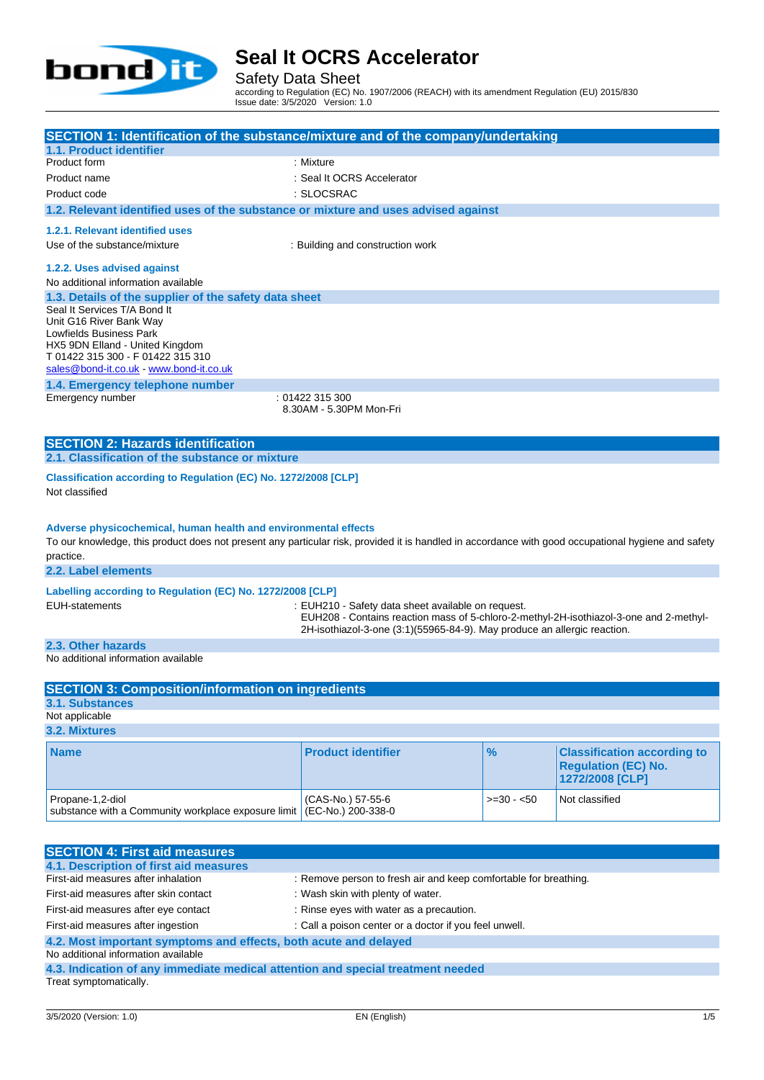

Safety Data Sheet

according to Regulation (EC) No. 1907/2006 (REACH) with its amendment Regulation (EU) 2015/830 Issue date: 3/5/2020 Version: 1.0

| SECTION 1: Identification of the substance/mixture and of the company/undertaking<br>1.1. Product identifier                                                                                                                        |                                                                                                                                                                    |               |                                                                                     |  |
|-------------------------------------------------------------------------------------------------------------------------------------------------------------------------------------------------------------------------------------|--------------------------------------------------------------------------------------------------------------------------------------------------------------------|---------------|-------------------------------------------------------------------------------------|--|
| Product form                                                                                                                                                                                                                        | : Mixture                                                                                                                                                          |               |                                                                                     |  |
| Product name                                                                                                                                                                                                                        | : Seal It OCRS Accelerator                                                                                                                                         |               |                                                                                     |  |
| Product code                                                                                                                                                                                                                        | : SLOCSRAC                                                                                                                                                         |               |                                                                                     |  |
| 1.2. Relevant identified uses of the substance or mixture and uses advised against                                                                                                                                                  |                                                                                                                                                                    |               |                                                                                     |  |
| 1.2.1. Relevant identified uses                                                                                                                                                                                                     |                                                                                                                                                                    |               |                                                                                     |  |
| Use of the substance/mixture                                                                                                                                                                                                        | : Building and construction work                                                                                                                                   |               |                                                                                     |  |
|                                                                                                                                                                                                                                     |                                                                                                                                                                    |               |                                                                                     |  |
| 1.2.2. Uses advised against                                                                                                                                                                                                         |                                                                                                                                                                    |               |                                                                                     |  |
| No additional information available                                                                                                                                                                                                 |                                                                                                                                                                    |               |                                                                                     |  |
| 1.3. Details of the supplier of the safety data sheet<br>Seal It Services T/A Bond It                                                                                                                                               |                                                                                                                                                                    |               |                                                                                     |  |
| Unit G16 River Bank Way                                                                                                                                                                                                             |                                                                                                                                                                    |               |                                                                                     |  |
| Lowfields Business Park                                                                                                                                                                                                             |                                                                                                                                                                    |               |                                                                                     |  |
| HX5 9DN Elland - United Kingdom                                                                                                                                                                                                     |                                                                                                                                                                    |               |                                                                                     |  |
| T 01422 315 300 - F 01422 315 310<br>sales@bond-it.co.uk - www.bond-it.co.uk                                                                                                                                                        |                                                                                                                                                                    |               |                                                                                     |  |
| 1.4. Emergency telephone number                                                                                                                                                                                                     |                                                                                                                                                                    |               |                                                                                     |  |
| Emergency number                                                                                                                                                                                                                    | : 01422 315 300                                                                                                                                                    |               |                                                                                     |  |
| 8.30AM - 5.30PM Mon-Fri                                                                                                                                                                                                             |                                                                                                                                                                    |               |                                                                                     |  |
|                                                                                                                                                                                                                                     |                                                                                                                                                                    |               |                                                                                     |  |
| <b>SECTION 2: Hazards identification</b>                                                                                                                                                                                            |                                                                                                                                                                    |               |                                                                                     |  |
| 2.1. Classification of the substance or mixture                                                                                                                                                                                     |                                                                                                                                                                    |               |                                                                                     |  |
| Classification according to Regulation (EC) No. 1272/2008 [CLP]<br>Not classified                                                                                                                                                   |                                                                                                                                                                    |               |                                                                                     |  |
| Adverse physicochemical, human health and environmental effects<br>To our knowledge, this product does not present any particular risk, provided it is handled in accordance with good occupational hygiene and safety<br>practice. |                                                                                                                                                                    |               |                                                                                     |  |
| 2.2. Label elements                                                                                                                                                                                                                 |                                                                                                                                                                    |               |                                                                                     |  |
| Labelling according to Regulation (EC) No. 1272/2008 [CLP]                                                                                                                                                                          |                                                                                                                                                                    |               |                                                                                     |  |
| <b>EUH-statements</b>                                                                                                                                                                                                               | : EUH210 - Safety data sheet available on request.                                                                                                                 |               |                                                                                     |  |
|                                                                                                                                                                                                                                     | EUH208 - Contains reaction mass of 5-chloro-2-methyl-2H-isothiazol-3-one and 2-methyl-<br>2H-isothiazol-3-one (3:1)(55965-84-9). May produce an allergic reaction. |               |                                                                                     |  |
|                                                                                                                                                                                                                                     |                                                                                                                                                                    |               |                                                                                     |  |
| 2.3. Other hazards<br>No additional information available                                                                                                                                                                           |                                                                                                                                                                    |               |                                                                                     |  |
|                                                                                                                                                                                                                                     |                                                                                                                                                                    |               |                                                                                     |  |
| <b>SECTION 3: Composition/information on ingredients</b>                                                                                                                                                                            |                                                                                                                                                                    |               |                                                                                     |  |
| 3.1. Substances                                                                                                                                                                                                                     |                                                                                                                                                                    |               |                                                                                     |  |
| Not applicable                                                                                                                                                                                                                      |                                                                                                                                                                    |               |                                                                                     |  |
| 3.2. Mixtures                                                                                                                                                                                                                       |                                                                                                                                                                    |               |                                                                                     |  |
| <b>Name</b>                                                                                                                                                                                                                         | <b>Product identifier</b>                                                                                                                                          | $\frac{9}{6}$ | <b>Classification according to</b><br><b>Regulation (EC) No.</b><br>1272/2008 [CLP] |  |
| Propane-1,2-diol<br>substance with a Community workplace exposure limit                                                                                                                                                             | (CAS-No.) 57-55-6<br>(EC-No.) 200-338-0                                                                                                                            | $>=30 - 50$   | Not classified                                                                      |  |
|                                                                                                                                                                                                                                     |                                                                                                                                                                    |               |                                                                                     |  |

| <b>SECTION 4: First aid measures</b>                                            |                                                                  |  |  |
|---------------------------------------------------------------------------------|------------------------------------------------------------------|--|--|
| 4.1. Description of first aid measures                                          |                                                                  |  |  |
| First-aid measures after inhalation                                             | : Remove person to fresh air and keep comfortable for breathing. |  |  |
| First-aid measures after skin contact                                           | : Wash skin with plenty of water.                                |  |  |
| First-aid measures after eye contact                                            | : Rinse eyes with water as a precaution.                         |  |  |
| First-aid measures after ingestion                                              | : Call a poison center or a doctor if you feel unwell.           |  |  |
| 4.2. Most important symptoms and effects, both acute and delayed                |                                                                  |  |  |
| No additional information available                                             |                                                                  |  |  |
| 4.3. Indication of any immediate medical attention and special treatment needed |                                                                  |  |  |
| Treat symptomatically.                                                          |                                                                  |  |  |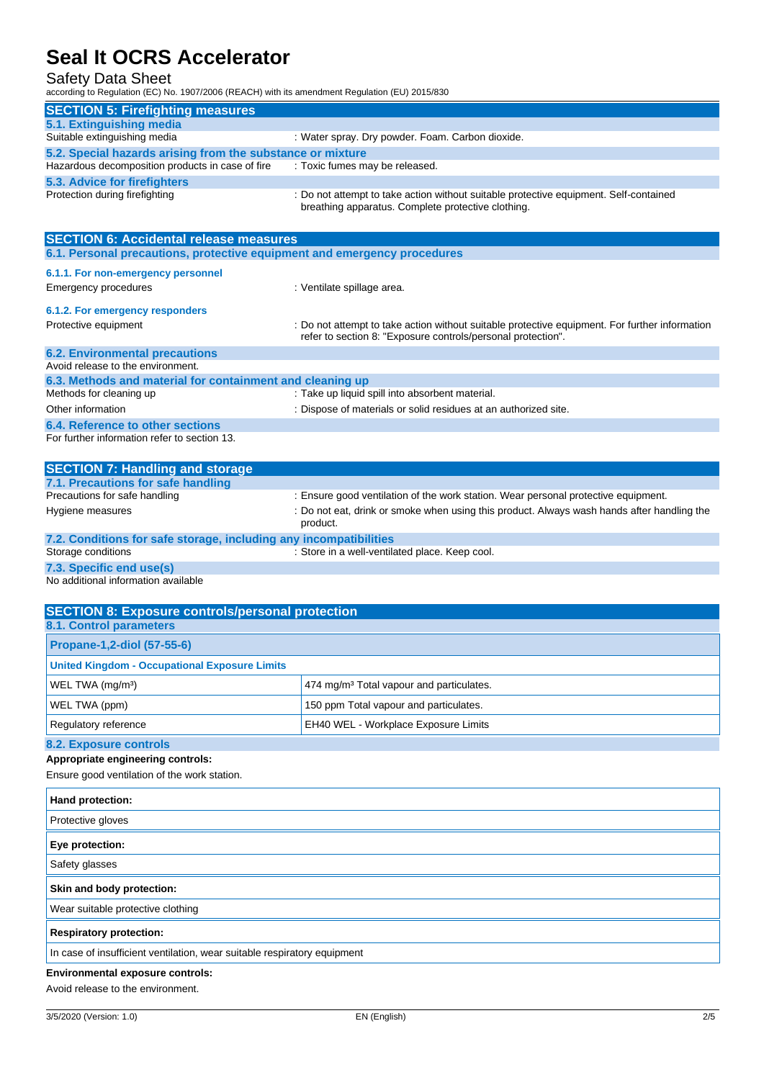### Safety Data Sheet

according to Regulation (EC) No. 1907/2006 (REACH) with its amendment Regulation (EU) 2015/830

| <b>SECTION 5: Firefighting measures</b>                                  |                                                                                                                                             |  |  |
|--------------------------------------------------------------------------|---------------------------------------------------------------------------------------------------------------------------------------------|--|--|
| 5.1. Extinguishing media                                                 |                                                                                                                                             |  |  |
| Suitable extinguishing media                                             | : Water spray. Dry powder. Foam. Carbon dioxide.                                                                                            |  |  |
| 5.2. Special hazards arising from the substance or mixture               |                                                                                                                                             |  |  |
| Hazardous decomposition products in case of fire                         | : Toxic fumes may be released.                                                                                                              |  |  |
| 5.3. Advice for firefighters                                             |                                                                                                                                             |  |  |
| Protection during firefighting                                           | : Do not attempt to take action without suitable protective equipment. Self-contained<br>breathing apparatus. Complete protective clothing. |  |  |
| <b>SECTION 6: Accidental release measures</b>                            |                                                                                                                                             |  |  |
| 6.1. Personal precautions, protective equipment and emergency procedures |                                                                                                                                             |  |  |

## Emergency procedures **in the set of the Control** of Ventilate spillage area. **6.1.2. For emergency responders** Protective equipment **interprotective equipment** information : Do not attempt to take action without suitable protective equipment. For further information

**6.1.1. For non-emergency personnel**

### **6.2. Environmental precautions** Avoid release to the environment.

| 6.3. Methods and material for containment and cleaning up |                                                                 |
|-----------------------------------------------------------|-----------------------------------------------------------------|
| Methods for cleaning up                                   | : Take up liquid spill into absorbent material.                 |
| Other information                                         | : Dispose of materials or solid residues at an authorized site. |
| 6.4. Reference to other sections                          |                                                                 |
| For further information refer to section 13.              |                                                                 |
|                                                           |                                                                 |

refer to section 8: "Exposure controls/personal protection".

| <b>SECTION 7: Handling and storage</b>                            |                                                                                                        |
|-------------------------------------------------------------------|--------------------------------------------------------------------------------------------------------|
| 7.1. Precautions for safe handling                                |                                                                                                        |
| Precautions for safe handling                                     | : Ensure good ventilation of the work station. Wear personal protective equipment.                     |
| Hygiene measures                                                  | : Do not eat, drink or smoke when using this product. Always wash hands after handling the<br>product. |
| 7.2. Conditions for safe storage, including any incompatibilities |                                                                                                        |
| Storage conditions                                                | : Store in a well-ventilated place. Keep cool.                                                         |

**7.3. Specific end use(s)**

No additional information available

| <b>SECTION 8: Exposure controls/personal protection</b> |                                                      |  |
|---------------------------------------------------------|------------------------------------------------------|--|
| <b>8.1. Control parameters</b>                          |                                                      |  |
| <b>Propane-1,2-diol (57-55-6)</b>                       |                                                      |  |
| <b>United Kingdom - Occupational Exposure Limits</b>    |                                                      |  |
| WEL TWA (mg/m <sup>3</sup> )                            | 474 mg/m <sup>3</sup> Total vapour and particulates. |  |
| WEL TWA (ppm)                                           | 150 ppm Total vapour and particulates.               |  |
| Regulatory reference                                    | EH40 WEL - Workplace Exposure Limits                 |  |
| 8.2. Exposure controls                                  |                                                      |  |

### **Appropriate engineering controls:**

Ensure good ventilation of the work station.

| Hand protection:                                                         |
|--------------------------------------------------------------------------|
| Protective gloves                                                        |
| Eye protection:                                                          |
| Safety glasses                                                           |
| Skin and body protection:                                                |
| Wear suitable protective clothing                                        |
| <b>Respiratory protection:</b>                                           |
| In case of insufficient ventilation, wear suitable respiratory equipment |
| <b>Environmental exposure controls:</b>                                  |

Avoid release to the environment.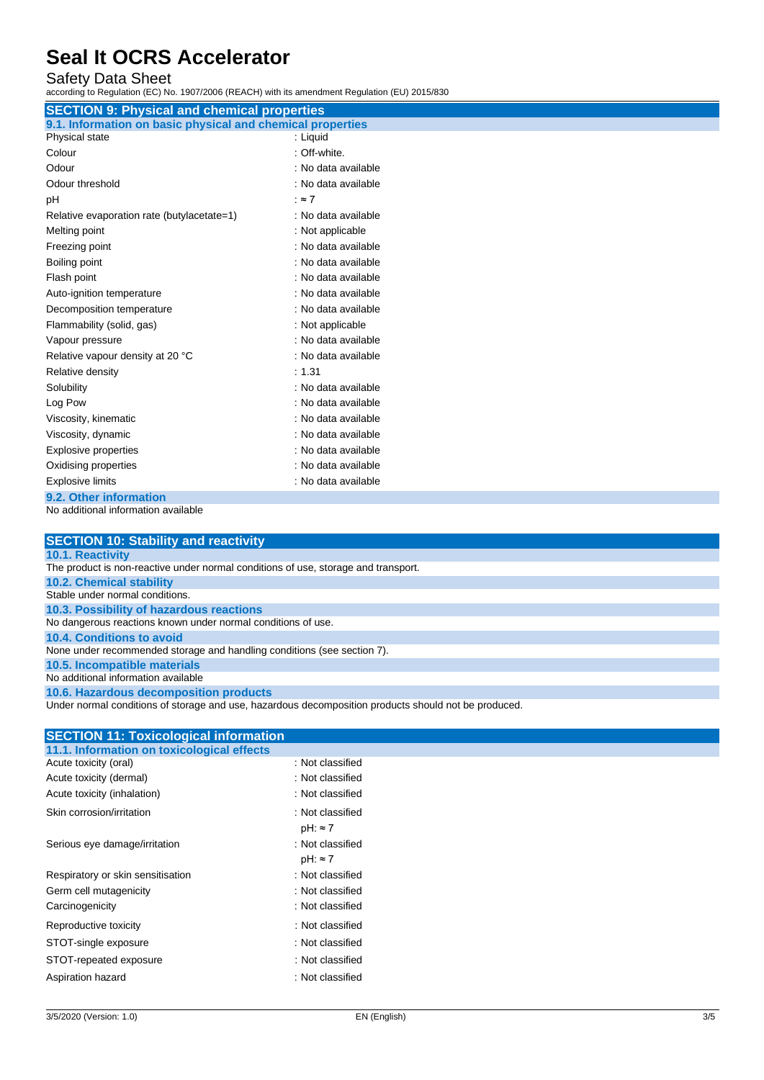Safety Data Sheet

according to Regulation (EC) No. 1907/2006 (REACH) with its amendment Regulation (EU) 2015/830

| <b>SECTION 9: Physical and chemical properties</b>         |                     |  |  |
|------------------------------------------------------------|---------------------|--|--|
| 9.1. Information on basic physical and chemical properties |                     |  |  |
| Physical state                                             | : Liquid            |  |  |
| Colour                                                     | : Off-white.        |  |  |
| Odour                                                      | : No data available |  |  |
| Odour threshold                                            | : No data available |  |  |
| рH                                                         | $: z \rightarrow 7$ |  |  |
| Relative evaporation rate (butylacetate=1)                 | : No data available |  |  |
| Melting point                                              | : Not applicable    |  |  |
| Freezing point                                             | : No data available |  |  |
| Boiling point                                              | : No data available |  |  |
| Flash point                                                | : No data available |  |  |
| Auto-ignition temperature                                  | : No data available |  |  |
| Decomposition temperature                                  | : No data available |  |  |
| Flammability (solid, gas)                                  | : Not applicable    |  |  |
| Vapour pressure                                            | : No data available |  |  |
| Relative vapour density at 20 °C                           | : No data available |  |  |
| Relative density                                           | : 1.31              |  |  |
| Solubility                                                 | : No data available |  |  |
| Log Pow                                                    | : No data available |  |  |
| Viscosity, kinematic                                       | : No data available |  |  |
| Viscosity, dynamic                                         | : No data available |  |  |
| <b>Explosive properties</b>                                | : No data available |  |  |
| Oxidising properties                                       | : No data available |  |  |
| <b>Explosive limits</b>                                    | : No data available |  |  |
| 9.2. Other information                                     |                     |  |  |

No additional information available

| <b>SECTION 10: Stability and reactivity</b>                                        |
|------------------------------------------------------------------------------------|
| <b>10.1. Reactivity</b>                                                            |
| The product is non-reactive under normal conditions of use, storage and transport. |
| <b>10.2. Chemical stability</b>                                                    |
| Stable under normal conditions.                                                    |
| 10.3. Possibility of hazardous reactions                                           |
| No dangerous reactions known under normal conditions of use.                       |
| <b>10.4. Conditions to avoid</b>                                                   |
| None under recommended storage and handling conditions (see section 7).            |
| 10.5. Incompatible materials                                                       |
| No additional information available                                                |
|                                                                                    |

**10.6. Hazardous decomposition products**

Under normal conditions of storage and use, hazardous decomposition products should not be produced.

| <b>SECTION 11: Toxicological information</b> |                  |
|----------------------------------------------|------------------|
| 11.1. Information on toxicological effects   |                  |
| Acute toxicity (oral)                        | : Not classified |
| Acute toxicity (dermal)                      | : Not classified |
| Acute toxicity (inhalation)                  | : Not classified |
| Skin corrosion/irritation                    | : Not classified |
|                                              | $pH: \approx 7$  |
| Serious eye damage/irritation                | : Not classified |
|                                              | $pH: \approx 7$  |
| Respiratory or skin sensitisation            | : Not classified |
| Germ cell mutagenicity                       | : Not classified |
| Carcinogenicity                              | : Not classified |
| Reproductive toxicity                        | : Not classified |
| STOT-single exposure                         | : Not classified |
| STOT-repeated exposure                       | : Not classified |
| Aspiration hazard                            | : Not classified |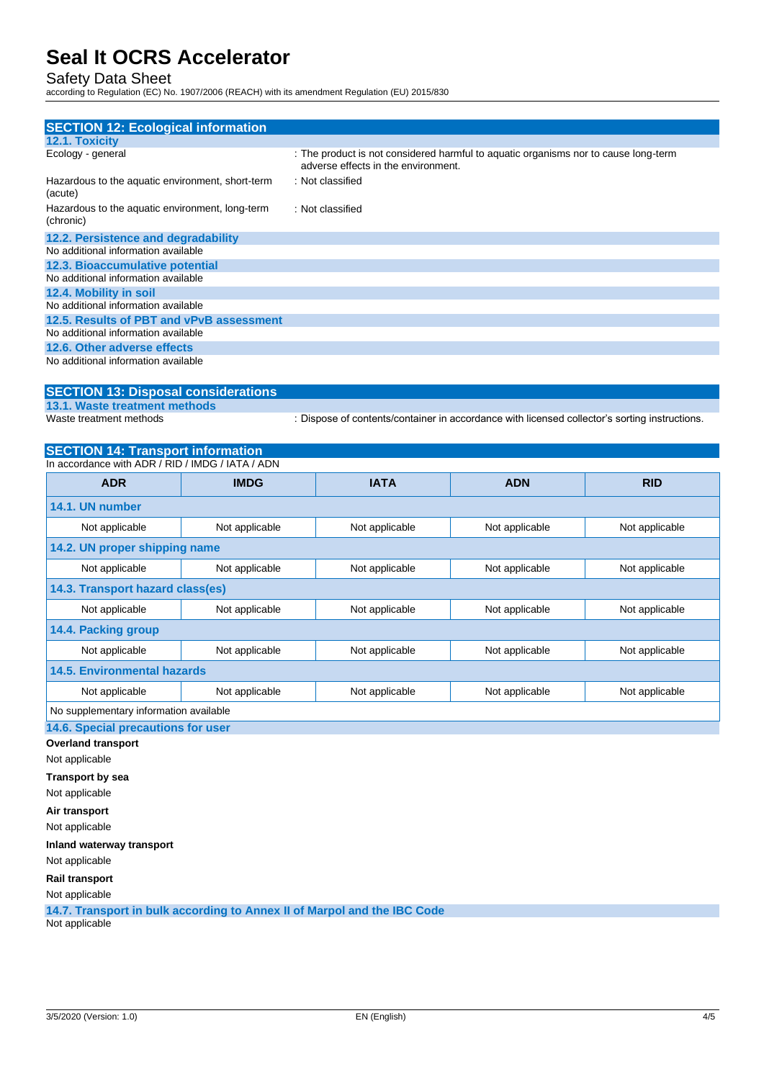Safety Data Sheet

according to Regulation (EC) No. 1907/2006 (REACH) with its amendment Regulation (EU) 2015/830

| <b>SECTION 12: Ecological information</b>                    |                                                                                                                            |
|--------------------------------------------------------------|----------------------------------------------------------------------------------------------------------------------------|
| <b>12.1. Toxicity</b>                                        |                                                                                                                            |
| Ecology - general                                            | : The product is not considered harmful to aquatic organisms nor to cause long-term<br>adverse effects in the environment. |
| Hazardous to the aquatic environment, short-term<br>(acute)  | : Not classified                                                                                                           |
| Hazardous to the aquatic environment, long-term<br>(chronic) | : Not classified                                                                                                           |
| 12.2. Persistence and degradability                          |                                                                                                                            |
| No additional information available                          |                                                                                                                            |
| 12.3. Bioaccumulative potential                              |                                                                                                                            |
| No additional information available                          |                                                                                                                            |
| 12.4. Mobility in soil                                       |                                                                                                                            |
| No additional information available                          |                                                                                                                            |
| 12.5. Results of PBT and vPvB assessment                     |                                                                                                                            |
| No additional information available                          |                                                                                                                            |
| 12.6. Other adverse effects                                  |                                                                                                                            |
| No additional information available                          |                                                                                                                            |

## **SECTION 13: Disposal considerations**

**13.1. Waste treatment methods**

: Dispose of contents/container in accordance with licensed collector's sorting instructions.

## **SECTION 14: Transport information**

| In accordance with ADR / RID / IMDG / IATA / ADN |                |                |                |                |
|--------------------------------------------------|----------------|----------------|----------------|----------------|
| <b>ADR</b>                                       | <b>IMDG</b>    | <b>IATA</b>    | <b>ADN</b>     | <b>RID</b>     |
| 14.1. UN number                                  |                |                |                |                |
| Not applicable                                   | Not applicable | Not applicable | Not applicable | Not applicable |
| 14.2. UN proper shipping name                    |                |                |                |                |
| Not applicable                                   | Not applicable | Not applicable | Not applicable | Not applicable |
| 14.3. Transport hazard class(es)                 |                |                |                |                |
| Not applicable                                   | Not applicable | Not applicable | Not applicable | Not applicable |
| 14.4. Packing group                              |                |                |                |                |
| Not applicable                                   | Not applicable | Not applicable | Not applicable | Not applicable |
| 14.5. Environmental hazards                      |                |                |                |                |
| Not applicable                                   | Not applicable | Not applicable | Not applicable | Not applicable |
| No supplementary information available           |                |                |                |                |

**14.6. Special precautions for user**

**Overland transport**

Not applicable

**Transport by sea**

Not applicable

**Air transport**

Not applicable

**Inland waterway transport**

Not applicable

**Rail transport**

Not applicable

**14.7. Transport in bulk according to Annex II of Marpol and the IBC Code** Not applicable